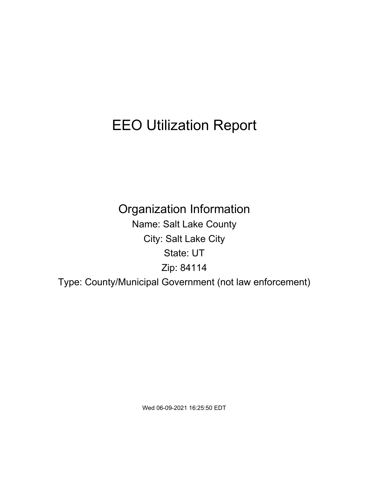# EEO Utilization Report

Organization Information Name: Salt Lake County City: Salt Lake City State: UT Zip: 84114 Type: County/Municipal Government (not law enforcement)

Wed 06-09-2021 16:25:50 EDT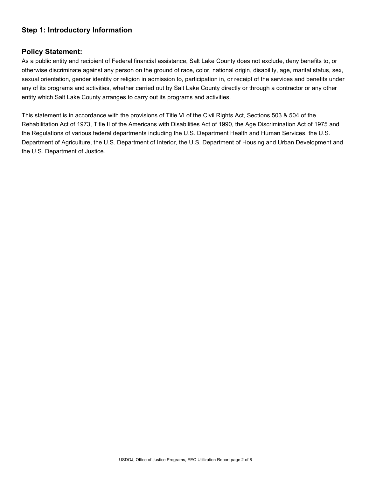## **Step 1: Introductory Information**

### **Policy Statement:**

As a public entity and recipient of Federal financial assistance, Salt Lake County does not exclude, deny benefits to, or otherwise discriminate against any person on the ground of race, color, national origin, disability, age, marital status, sex, sexual orientation, gender identity or religion in admission to, participation in, or receipt of the services and benefits under any of its programs and activities, whether carried out by Salt Lake County directly or through a contractor or any other entity which Salt Lake County arranges to carry out its programs and activities.

This statement is in accordance with the provisions of Title VI of the Civil Rights Act, Sections 503 & 504 of the Rehabilitation Act of 1973, Title II of the Americans with Disabilities Act of 1990, the Age Discrimination Act of 1975 and the Regulations of various federal departments including the U.S. Department Health and Human Services, the U.S. Department of Agriculture, the U.S. Department of Interior, the U.S. Department of Housing and Urban Development and the U.S. Department of Justice.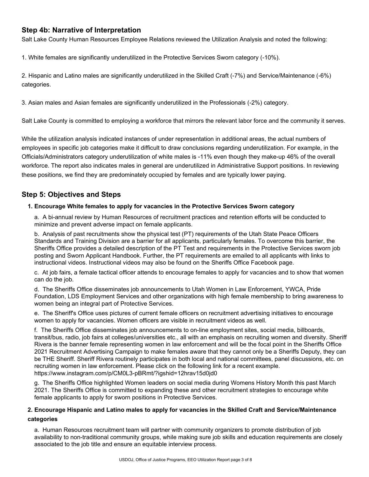## **Step 4b: Narrative of Interpretation**

Salt Lake County Human Resources Employee Relations reviewed the Utilization Analysis and noted the following:

1. White females are significantly underutilized in the Protective Services Sworn category (-10%).

2. Hispanic and Latino males are significantly underutilized in the Skilled Craft (-7%) and Service/Maintenance (-6%) categories.

3. Asian males and Asian females are significantly underutilized in the Professionals (-2%) category.

Salt Lake County is committed to employing a workforce that mirrors the relevant labor force and the community it serves.

While the utilization analysis indicated instances of under representation in additional areas, the actual numbers of employees in specific job categories make it difficult to draw conclusions regarding underutilization. For example, in the Officials/Administrators category underutilization of white males is -11% even though they make-up 46% of the overall workforce. The report also indicates males in general are underutilized in Administrative Support positions. In reviewing these positions, we find they are predominately occupied by females and are typically lower paying.

## **Step 5: Objectives and Steps**

#### **1. Encourage White females to apply for vacancies in the Protective Services Sworn category**

a. A bi-annual review by Human Resources of recruitment practices and retention efforts will be conducted to minimize and prevent adverse impact on female applicants.

b. Analysis of past recruitments show the physical test (PT) requirements of the Utah State Peace Officers Standards and Training Division are a barrier for all applicants, particularly females. To overcome this barrier, the Sheriffs Office provides a detailed description of the PT Test and requirements in the Protective Services sworn job posting and Sworn Applicant Handbook. Further, the PT requirements are emailed to all applicants with links to instructional videos. Instructional videos may also be found on the Sheriffs Office Facebook page.

c. At job fairs, a female tactical officer attends to encourage females to apply for vacancies and to show that women can do the job.

d. The Sheriffs Office disseminates job announcements to Utah Women in Law Enforcement, YWCA, Pride Foundation, LDS Employment Services and other organizations with high female membership to bring awareness to women being an integral part of Protective Services.

e. The Sheriff's Office uses pictures of current female officers on recruitment advertising initiatives to encourage women to apply for vacancies. Women officers are visible in recruitment videos as well.

f. The Sheriffs Office disseminates job announcements to on-line employment sites, social media, billboards, transit/bus, radio, job fairs at colleges/universities etc., all with an emphasis on recruiting women and diversity. Sheriff Rivera is the banner female representing women in law enforcement and will be the focal point in the Sheriffs Office 2021 Recruitment Advertising Campaign to make females aware that they cannot only be a Sheriffs Deputy, they can be THE Sheriff. Sheriff Rivera routinely participates in both local and national committees, panel discussions, etc. on recruiting women in law enforcement. Please click on the following link for a recent example. [https://www.instagram.com/p/CM0L3-pBRmt/?igshid=12hrav15d0jd0](http://www.instagram.com/p/CM0L3-pBRmt/?igshid=12hrav15d0jd0)

g. The Sheriffs Office highlighted Women leaders on social media during Womens History Month this past March 2021. The Sheriffs Office is committed to expanding these and other recruitment strategies to encourage white female applicants to apply for sworn positions in Protective Services.

#### **2. Encourage Hispanic and Latino males to apply for vacancies in the Skilled Craft and Service/Maintenance categories**

a. Human Resources recruitment team will partner with community organizers to promote distribution of job availability to non-traditional community groups, while making sure job skills and education requirements are closely associated to the job title and ensure an equitable interview process.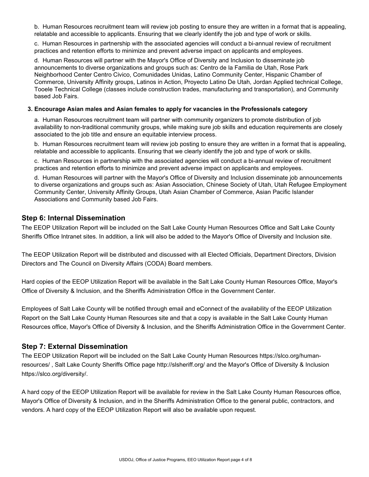b. Human Resources recruitment team will review job posting to ensure they are written in a format that is appealing, relatable and accessible to applicants. Ensuring that we clearly identify the job and type of work or skills.

c. Human Resources in partnership with the associated agencies will conduct a bi-annual review of recruitment practices and retention efforts to minimize and prevent adverse impact on applicants and employees.

d. Human Resources will partner with the Mayor's Office of Diversity and Inclusion to disseminate job announcements to diverse organizations and groups such as: Centro de la Familia de Utah, Rose Park Neighborhood Center Centro Civico, Comunidades Unidas, Latino Community Center, Hispanic Chamber of Commerce, University Affinity groups, Latinos in Action, Proyecto Latino De Utah, Jordan Applied technical College, Tooele Technical College (classes include construction trades, manufacturing and transportation), and Community based Job Fairs.

#### **3. Encourage Asian males and Asian females to apply for vacancies in the Professionals category**

a. Human Resources recruitment team will partner with community organizers to promote distribution of job availability to non-traditional community groups, while making sure job skills and education requirements are closely associated to the job title and ensure an equitable interview process.

b. Human Resources recruitment team will review job posting to ensure they are written in a format that is appealing, relatable and accessible to applicants. Ensuring that we clearly identify the job and type of work or skills.

c. Human Resources in partnership with the associated agencies will conduct a bi-annual review of recruitment practices and retention efforts to minimize and prevent adverse impact on applicants and employees.

d. Human Resources will partner with the Mayor's Office of Diversity and Inclusion disseminate job announcements to diverse organizations and groups such as: Asian Association, Chinese Society of Utah, Utah Refugee Employment Community Center, University Affinity Groups, Utah Asian Chamber of Commerce, Asian Pacific Islander Associations and Community based Job Fairs.

### **Step 6: Internal Dissemination**

The EEOP Utilization Report will be included on the Salt Lake County Human Resources Office and Salt Lake County Sheriffs Office Intranet sites. In addition, a link will also be added to the Mayor's Office of Diversity and Inclusion site.

The EEOP Utilization Report will be distributed and discussed with all Elected Officials, Department Directors, Division Directors and The Council on Diversity Affairs (CODA) Board members.

Hard copies of the EEOP Utilization Report will be available in the Salt Lake County Human Resources Office, Mayor's Office of Diversity & Inclusion, and the Sheriffs Administration Office in the Government Center.

Employees of Salt Lake County will be notified through email and eConnect of the availability of the EEOP Utilization Report on the Salt Lake County Human Resources site and that a copy is available in the Salt Lake County Human Resources office, Mayor's Office of Diversity & Inclusion, and the Sheriffs Administration Office in the Government Center.

### **Step 7: External Dissemination**

The EEOP Utilization Report will be included on the Salt Lake County Human Resources https://slco.org/humanresources/ , Salt Lake County Sheriffs Office page<http://slsheriff.org/> and the Mayor's Office of Diversity & Inclusion https://slco.org/diversity/.

A hard copy of the EEOP Utilization Report will be available for review in the Salt Lake County Human Resources office, Mayor's Office of Diversity & Inclusion, and in the Sheriffs Administration Office to the general public, contractors, and vendors. A hard copy of the EEOP Utilization Report will also be available upon request.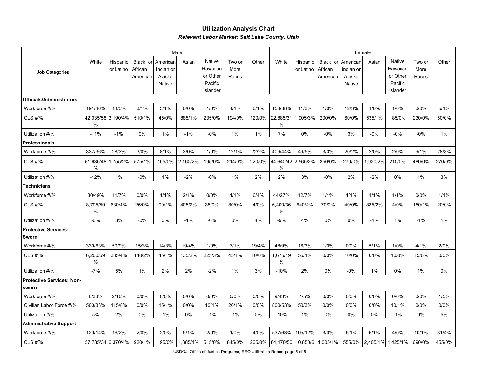### **Utilization Analysis Chart** *Relevant Labor Market: Salt Lake County, Utah*

|                                             |                |                       |                                 |                                           | Male     |                                                       |                         |        | Female           |                       |                                 |                                           |          |                                                       |                         |        |
|---------------------------------------------|----------------|-----------------------|---------------------------------|-------------------------------------------|----------|-------------------------------------------------------|-------------------------|--------|------------------|-----------------------|---------------------------------|-------------------------------------------|----------|-------------------------------------------------------|-------------------------|--------|
| Job Categories                              | White          | Hispanic<br>or Latino | Black or<br>African<br>American | American<br>Indian or<br>Alaska<br>Native | Asian    | Native<br>Hawaiian<br>or Other<br>Pacific<br>Islander | Two or<br>More<br>Races | Other  | White            | Hispanic<br>or Latino | Black or<br>African<br>American | American<br>Indian or<br>Alaska<br>Native | Asian    | Native<br>Hawaiian<br>or Other<br>Pacific<br>Islander | Two or<br>More<br>Races | Other  |
| <b>Officials/Administrators</b>             |                |                       |                                 |                                           |          |                                                       |                         |        |                  |                       |                                 |                                           |          |                                                       |                         |        |
| Workforce #/%                               | 191/46%        | 14/3%                 | 3/1%                            | 3/1%                                      | 0/0%     | 1/0%                                                  | 4/1%                    | 6/1%   | 158/38%          | 11/3%                 | 1/0%                            | 12/3%                                     | 1/0%     | 1/0%                                                  | 0/0%                    | 5/1%   |
| <b>CLS #/%</b>                              | %              | 42,335/58 3,190/4%    | 510/1%                          | 45/0%                                     | 885/1%   | 235/0%                                                | 194/0%                  | 120/0% | 22,885/31<br>%   | 1,905/3%              | 200/0%                          | 60/0%                                     | 535/1%   | 185/0%                                                | 230/0%                  | 50/0%  |
| Utilization #/%                             | $-11%$         | $-1%$                 | 0%                              | 1%                                        | $-1%$    | $-0%$                                                 | 1%                      | 1%     | 7%               | 0%                    | $-0%$                           | 3%                                        | $-0%$    | $-0%$                                                 | $-0%$                   | 1%     |
| <b>Professionals</b>                        |                |                       |                                 |                                           |          |                                                       |                         |        |                  |                       |                                 |                                           |          |                                                       |                         |        |
| Workforce #/%                               | 337/36%        | 28/3%                 | 3/0%                            | 8/1%                                      | 3/0%     | 1/0%                                                  | 12/1%                   | 22/2%  | 409/44%          | 49/5%                 | 3/0%                            | 20/2%                                     | 2/0%     | 2/0%                                                  | 9/1%                    | 28/3%  |
| <b>CLS #/%</b>                              | 51,635/48<br>% | 1,755/2%              | 575/1%                          | 105/0%                                    | 2,160/2% | 195/0%                                                | 214/0%                  | 220/0% | 44,640/42<br>%   | 2,565/2%              | 350/0%                          | 270/0%                                    | 1,920/2% | 210/0%                                                | 480/0%                  | 270/0% |
| Utilization #/%                             | $-12%$         | 1%                    | -0%                             | 1%                                        | $-2%$    | $-0%$                                                 | 1%                      | 2%     | 2%               | 3%                    | -0%                             | 2%                                        | $-2%$    | 0%                                                    | 1%                      | 3%     |
| Technicians                                 |                |                       |                                 |                                           |          |                                                       |                         |        |                  |                       |                                 |                                           |          |                                                       |                         |        |
| Workforce #/%                               | 80/49%         | 11/7%                 | 0/0%                            | 1/1%                                      | 2/1%     | 0/0%                                                  | 1/1%                    | 6/4%   | 44/27%           | 12/7%                 | 1/1%                            | 1/1%                                      | 1/1%     | 1/1%                                                  | 0/0%                    | 1/1%   |
| <b>CLS #/%</b>                              | 8,795/50<br>%  | 630/4%                | 25/0%                           | 90/1%                                     | 405/2%   | 35/0%                                                 | 80/0%                   | 4/0%   | 6,400/36<br>$\%$ | 640/4%                | 70/0%                           | 40/0%                                     | 335/2%   | 4/0%                                                  | 150/1%                  | 20/0%  |
| Utilization #/%                             | $-0%$          | 3%                    | $-0\%$                          | 0%                                        | $-1%$    | $-0%$                                                 | 0%                      | 4%     | $-9%$            | 4%                    | 0%                              | 0%                                        | $-1%$    | 1%                                                    | $-1%$                   | 1%     |
| <b>Protective Services:</b><br><b>Sworn</b> |                |                       |                                 |                                           |          |                                                       |                         |        |                  |                       |                                 |                                           |          |                                                       |                         |        |
| Workforce #/%                               | 339/63%        | 50/9%                 | 15/3%                           | 14/3%                                     | 19/4%    | 1/0%                                                  | 7/1%                    | 19/4%  | 48/9%            | 16/3%                 | 1/0%                            | 0/0%                                      | 5/1%     | 1/0%                                                  | 4/1%                    | 2/0%   |
| <b>CLS #/%</b>                              | 6,200/69<br>%  | 385/4%                | 140/2%                          | 45/1%                                     | 135/2%   | 225/3%                                                | 45/1%                   | 10/0%  | 1,675/19<br>%    | 55/1%                 | 0/0%                            | 10/0%                                     | 0/0%     | 10/0%                                                 | 15/0%                   | 0/0%   |
| Utilization #/%                             | $-7%$          | 5%                    | 1%                              | 2%                                        | 2%       | $-2%$                                                 | 1%                      | 3%     | $-10%$           | 2%                    | 0%                              | $-0%$                                     | 1%       | 0%                                                    | 1%                      | 0%     |
| <b>Protective Services: Non-</b><br>sworn   |                |                       |                                 |                                           |          |                                                       |                         |        |                  |                       |                                 |                                           |          |                                                       |                         |        |
| Workforce #/%                               | 8/38%          | 2/10%                 | 0/0%                            | 0/0%                                      | 0/0%     | 0/0%                                                  | 0/0%                    | 0/0%   | 9/43%            | 1/5%                  | 0/0%                            | 0/0%                                      | 0/0%     | 0/0%                                                  | 0/0%                    | 1/5%   |
| Civilian Labor Force #/%                    | 500/33%        | 115/8%                | 0/0%                            | 15/1%                                     | 0/0%     | 10/1%                                                 | 20/1%                   | 0/0%   | 800/53%          | 50/3%                 | 0/0%                            | 0/0%                                      | 0/0%     | 10/1%                                                 | 0/0%                    | 0/0%   |
| Utilization #/%                             | 5%             | 2%                    | 0%                              | $-1%$                                     | 0%       | $-1%$                                                 | $-1%$                   | 0%     | $-10%$           | 1%                    | 0%                              | 0%                                        | 0%       | $-1%$                                                 | 0%                      | 5%     |
| <b>Administrative Support</b>               |                |                       |                                 |                                           |          |                                                       |                         |        |                  |                       |                                 |                                           |          |                                                       |                         |        |
| Workforce #/%                               | 120/14%        | 16/2%                 | 2/0%                            | 2/0%                                      | 5/1%     | 2/0%                                                  | 1/0%                    | 4/0%   | 537/63%          | 105/12%               | 3/0%                            | 6/1%                                      | 6/1%     | 4/0%                                                  | 10/1%                   | 31/4%  |
| <b>CLS #/%</b>                              |                | 57,735/34 6,370/4%    | 920/1%                          | 195/0%                                    | 1,385/1% | 515/0%                                                | 845/0%                  | 265/0% | 84,170/50        | 10,650/6              | 1,005/1%                        | 555/0%                                    | 2,405/1% | 1,425/1%                                              | 690/0%                  | 455/0% |

USDOJ, Office of Justice Programs, EEO Utilization Report page 5 of 8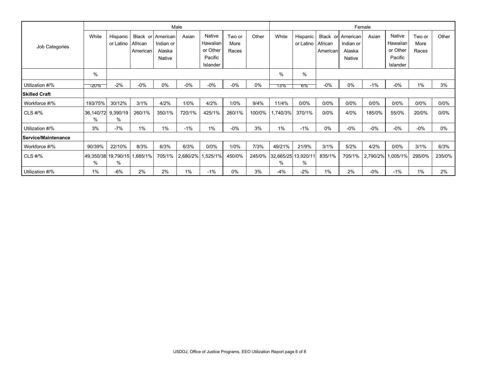|                      |                |                              |                     |                         | Male     |                                 |                |        | Female  |                              |                     |                       |          |                                 |                |        |
|----------------------|----------------|------------------------------|---------------------|-------------------------|----------|---------------------------------|----------------|--------|---------|------------------------------|---------------------|-----------------------|----------|---------------------------------|----------------|--------|
| Job Categories       | White          | <b>Hispanic</b><br>or Latino | Black or<br>African | American<br>Indian or   | Asian    | Native<br>Hawaiian              | Two or<br>More | Other  | White   | <b>Hispanic</b><br>or Latino | Black or<br>African | American<br>Indian or | Asian    | Native<br>Hawaiian              | Two or<br>More | Other  |
|                      |                |                              | American            | Alaska<br><b>Native</b> |          | or Other<br>Pacific<br>Islander | Races          |        |         |                              | American            | Alaska<br>Native      |          | or Other<br>Pacific<br>Islander | Races          |        |
|                      | %              |                              |                     |                         |          |                                 |                |        | %       | %                            |                     |                       |          |                                 |                |        |
| Utilization #/%      | -20%           | $-2%$                        | $-0%$               | $0\%$                   | $-0%$    | $-0%$                           | $-0%$          | $0\%$  | 13%     | <b>D</b> %                   | $-0%$               | $0\%$                 | $-1%$    | $-0\%$                          | 1%             | 3%     |
| <b>Skilled Craft</b> |                |                              |                     |                         |          |                                 |                |        |         |                              |                     |                       |          |                                 |                |        |
| Workforce #/%        | 193/75%        | 30/12%                       | 3/1%                | 4/2%                    | 1/0%     | 4/2%                            | 1/0%           | 9/4%   | 11/4%   | 0/0%                         | 0/0%                | 0/0%                  | 0/0%     | 0/0%                            | 0/0%           | 0/0%   |
| CLS #/%              | 36,140/72<br>% | 9,390/19<br>%                | 260/1%              | 350/1%                  | 720/1%   | 425/1%                          | 260/1%         | 100/0% | ,740/3% | 370/1%                       | 0/0%                | 4/0%                  | 185/0%   | 55/0%                           | 20/0%          | 0/0%   |
| Utilization #/%      | 3%             | $-7%$                        | 1%                  | 1%                      | $-1%$    | 1%                              | $-0\%$         | 3%     | 1%      | $-1%$                        | $0\%$               | $-0\%$                | $-0\%$   | $-0\%$                          | $-0%$          | $0\%$  |
| Service/Maintenance  |                |                              |                     |                         |          |                                 |                |        |         |                              |                     |                       |          |                                 |                |        |
| Workforce #/%        | 90/39%         | 22/10%                       | 8/3%                | 6/3%                    | 6/3%     | 0/0%                            | 1/0%           | 7/3%   | 49/21%  | 21/9%                        | 3/1%                | 5/2%                  | 4/2%     | 0/0%                            | 3/1%           | 6/3%   |
| CLS #/%              | $\%$           | 49,350/38 19,790/15<br>$\%$  | 1,685/1%            | 705/1%                  | 2,680/2% | 1,525/1%                        | 450/0%         | 245/0% | $\%$    | 32,665/25 13,920/11<br>$\%$  | 835/1%              | 705/1%                | 2,790/2% | 1,005/1%                        | 295/0%         | 235/0% |
| Utilization #/%      | 1%             | $-6%$                        | 2%                  | 2%                      | 1%       | $-1%$                           | $0\%$          | 3%     | $-4%$   | $-2%$                        | 1%                  | 2%                    | $-0\%$   | $-1%$                           | 1%             | 2%     |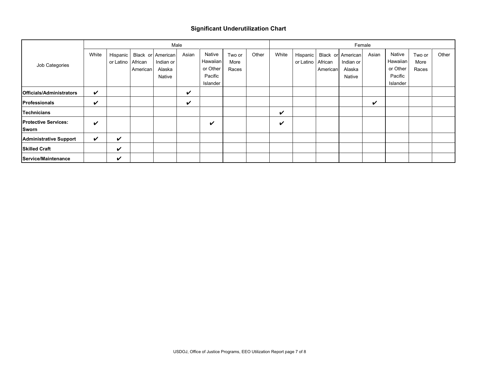#### **Significant Underutilization Chart**

|                                 |       | Male      |          |                   |       |          |        |       |       |                 | Female   |           |       |          |        |       |  |  |
|---------------------------------|-------|-----------|----------|-------------------|-------|----------|--------|-------|-------|-----------------|----------|-----------|-------|----------|--------|-------|--|--|
|                                 | White | Hispanic  |          | Black or American | Asian | Native   | Two or | Other | White | <b>Hispanic</b> | Black or | American  | Asian | Native   | Two or | Other |  |  |
| Job Categories                  |       | or Latino | African  | Indian or         |       | Hawaiian | More   |       |       | or Latino       | African  | Indian or |       | Hawaiian | More   |       |  |  |
|                                 |       |           | American | Alaska            |       | or Other | Races  |       |       |                 | American | Alaska    |       | or Other | Races  |       |  |  |
|                                 |       |           |          | Native            |       | Pacific  |        |       |       |                 |          | Native    |       | Pacific  |        |       |  |  |
|                                 |       |           |          |                   |       | Islander |        |       |       |                 |          |           |       | Islander |        |       |  |  |
| <b>Officials/Administrators</b> | V     |           |          |                   | ✓     |          |        |       |       |                 |          |           |       |          |        |       |  |  |
| <b>Professionals</b>            | V     |           |          |                   | V     |          |        |       |       |                 |          |           | ✔     |          |        |       |  |  |
| <b>Technicians</b>              |       |           |          |                   |       |          |        |       | V     |                 |          |           |       |          |        |       |  |  |
| <b>Protective Services:</b>     | V     |           |          |                   |       | ✓        |        |       | ✔     |                 |          |           |       |          |        |       |  |  |
| Sworn                           |       |           |          |                   |       |          |        |       |       |                 |          |           |       |          |        |       |  |  |
| <b>Administrative Support</b>   | V     | ✓         |          |                   |       |          |        |       |       |                 |          |           |       |          |        |       |  |  |
| <b>Skilled Craft</b>            |       | V         |          |                   |       |          |        |       |       |                 |          |           |       |          |        |       |  |  |
| Service/Maintenance             |       | ✓         |          |                   |       |          |        |       |       |                 |          |           |       |          |        |       |  |  |